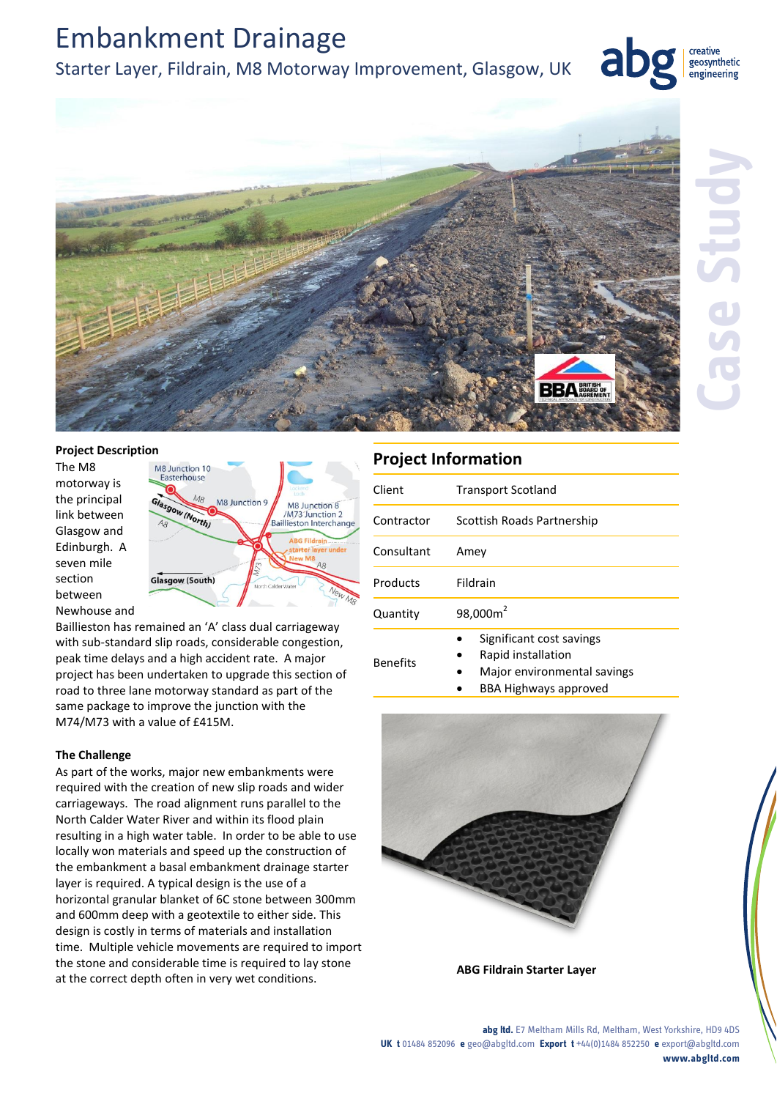# Embankment Drainage

### Starter Layer, Fildrain, M8 Motorway Improvement, Glasgow, UK



creative geosynthetic engineering

#### **Project Description**

The M8 motorway is the principal link between Glasgow and Edinburgh. A seven mile section between Newhouse and



Baillieston has remained an 'A' class dual carriageway with sub-standard slip roads, considerable congestion, peak time delays and a high accident rate. A major project has been undertaken to upgrade this section of road to three lane motorway standard as part of the same package to improve the junction with the M74/M73 with a value of £415M.

### **The Challenge**

As part of the works, major new embankments were required with the creation of new slip roads and wider carriageways. The road alignment runs parallel to the North Calder Water River and within its flood plain resulting in a high water table. In order to be able to use locally won materials and speed up the construction of the embankment a basal embankment drainage starter layer is required. A typical design is the use of a horizontal granular blanket of 6C stone between 300mm and 600mm deep with a geotextile to either side. This design is costly in terms of materials and installation time. Multiple vehicle movements are required to import the stone and considerable time is required to lay stone at the correct depth often in very wet conditions.

## **Project Information**

| Client          | <b>Transport Scotland</b>                      |
|-----------------|------------------------------------------------|
| Contractor      | Scottish Roads Partnership                     |
| Consultant      | Amey                                           |
| Products        | Fildrain                                       |
| Quantity        | 98,000m <sup>2</sup>                           |
| <b>Benefits</b> | Significant cost savings<br>Rapid installation |

- Major environmental savings
	- BBA Highways approved



**ABG Fildrain Starter Layer**

#### **abg ltd.** E7 Meltham Mills Rd, Meltham, West Yorkshire, HD9 4DS **UK t** 01484 852096 **e** geo@abgltd.com **Export t** +44(0)1484 852250 **e** export@abgltd.com **www.abgltd.com**